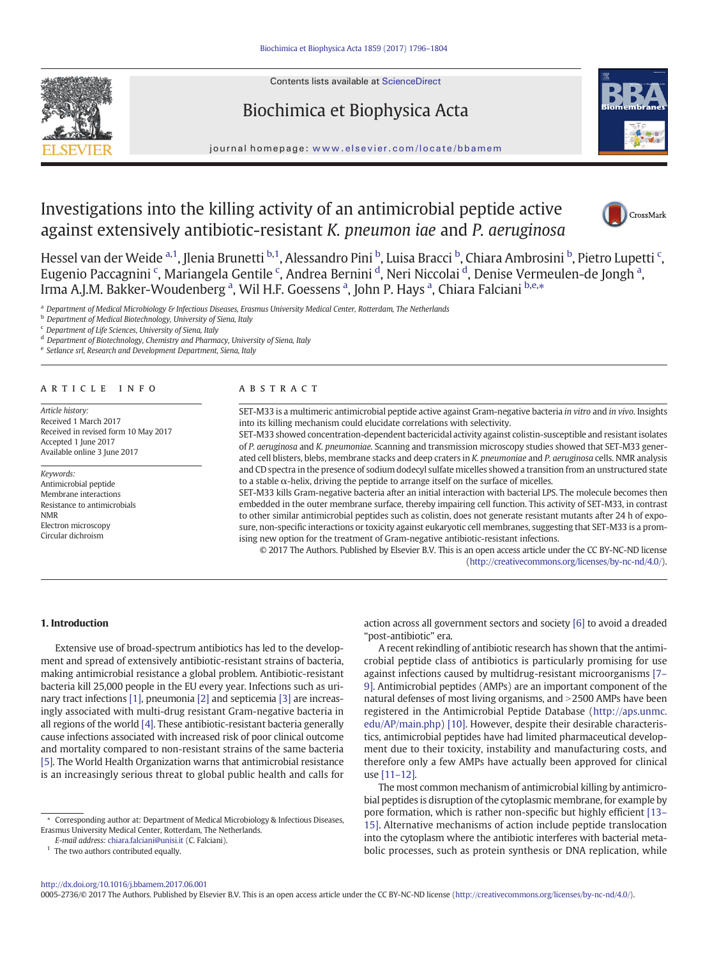Contents lists available at ScienceDirect







#### journal homepage: <www.elsevier.com/locate/bbamem>

# Investigations into the killing activity of an antimicrobial peptide active against extensively antibiotic-resistant K. pneumon iae and P. aeruginosa



Hessel van der Weide <sup>a, 1</sup>, Jlenia Brunetti <sup>b, 1</sup>, Alessandro Pini <sup>b</sup>, Luisa Bracci <sup>b</sup>, Chiara Ambrosini <sup>b</sup>, Pietro Lupetti <sup>c</sup>, Eugenio Paccagnini <sup>c</sup>, Mariangela Gentile <sup>c</sup>, Andrea Bernini <sup>d</sup>, Neri Niccolai <sup>d</sup>, Denise Vermeulen-de Jongh <sup>a</sup>, Irma A.J.M. Bakker-Woudenberg <sup>a</sup>, Wil H.F. Goessens <sup>a</sup>, John P. Hays <sup>a</sup>, Chiara Falciani <sup>b,e,</sup>\*

<sup>a</sup> Department of Medical Microbiology & Infectious Diseases, Erasmus University Medical Center, Rotterdam, The Netherlands

**b** Department of Medical Biotechnology, University of Siena, Italy

<sup>c</sup> Department of Life Sciences, University of Siena, Italy

<sup>d</sup> Department of Biotechnology, Chemistry and Pharmacy, University of Siena, Italy

<sup>e</sup> Setlance srl, Research and Development Department, Siena, Italy

Article history: Received 1 March 2017 Received in revised form 10 May 2017 Accepted 1 June 2017 Available online 3 June 2017

Keywords: Antimicrobial peptide Membrane interactions Resistance to antimicrobials NMR Electron microscopy Circular dichroism

#### article info abstract

SET-M33 is a multimeric antimicrobial peptide active against Gram-negative bacteria in vitro and in vivo. Insights into its killing mechanism could elucidate correlations with selectivity.

SET-M33 showed concentration-dependent bactericidal activity against colistin-susceptible and resistant isolates of P. aeruginosa and K. pneumoniae. Scanning and transmission microscopy studies showed that SET-M33 generated cell blisters, blebs, membrane stacks and deep craters in K. pneumoniae and P. aeruginosa cells. NMR analysis and CD spectra in the presence of sodium dodecyl sulfate micelles showed a transition from an unstructured state to a stable α-helix, driving the peptide to arrange itself on the surface of micelles.

SET-M33 kills Gram-negative bacteria after an initial interaction with bacterial LPS. The molecule becomes then embedded in the outer membrane surface, thereby impairing cell function. This activity of SET-M33, in contrast to other similar antimicrobial peptides such as colistin, does not generate resistant mutants after 24 h of exposure, non-specific interactions or toxicity against eukaryotic cell membranes, suggesting that SET-M33 is a promising new option for the treatment of Gram-negative antibiotic-resistant infections.

© 2017 The Authors. Published by Elsevier B.V. This is an open access article under the CC BY-NC-ND license [\(http://creativecommons.org/licenses/by-nc-nd/4.0/](http://creativecommons.org/licenses/by-nc-nd/4.0/)).

# 1. Introduction

Extensive use of broad-spectrum antibiotics has led to the development and spread of extensively antibiotic-resistant strains of bacteria, making antimicrobial resistance a global problem. Antibiotic-resistant bacteria kill 25,000 people in the EU every year. Infections such as urinary tract infections [\[1\],](#page-7-0) pneumonia [\[2\]](#page-7-0) and septicemia [\[3\]](#page-7-0) are increasingly associated with multi-drug resistant Gram-negative bacteria in all regions of the world [\[4\]](#page-7-0). These antibiotic-resistant bacteria generally cause infections associated with increased risk of poor clinical outcome and mortality compared to non-resistant strains of the same bacteria [\[5\].](#page-7-0) The World Health Organization warns that antimicrobial resistance is an increasingly serious threat to global public health and calls for

 $1$  The two authors contributed equally.

action across all government sectors and society [\[6\]](#page-7-0) to avoid a dreaded "post-antibiotic" era.

A recent rekindling of antibiotic research has shown that the antimicrobial peptide class of antibiotics is particularly promising for use against infections caused by multidrug-resistant microorganisms [\[7](#page-7-0)– [9\].](#page-7-0) Antimicrobial peptides (AMPs) are an important component of the natural defenses of most living organisms, and >2500 AMPs have been registered in the Antimicrobial Peptide Database ([http://aps.unmc.](http://aps.unmc.edu/AP/main.php) [edu/AP/main.php](http://aps.unmc.edu/AP/main.php)) [\[10\].](#page-7-0) However, despite their desirable characteristics, antimicrobial peptides have had limited pharmaceutical development due to their toxicity, instability and manufacturing costs, and therefore only a few AMPs have actually been approved for clinical use [11–[12\].](#page-7-0)

The most common mechanism of antimicrobial killing by antimicrobial peptides is disruption of the cytoplasmic membrane, for example by pore formation, which is rather non-specific but highly efficient [\[13](#page-7-0)– [15\].](#page-7-0) Alternative mechanisms of action include peptide translocation into the cytoplasm where the antibiotic interferes with bacterial metabolic processes, such as protein synthesis or DNA replication, while

0005-2736/© 2017 The Authors. Published by Elsevier B.V. This is an open access article under the CC BY-NC-ND license [\(http://creativecommons.org/licenses/by-nc-nd/4.0/\)](http://creativecommons.org/licenses/by-nc-nd/4.0/).

<sup>⁎</sup> Corresponding author at: Department of Medical Microbiology & Infectious Diseases, Erasmus University Medical Center, Rotterdam, The Netherlands.

E-mail address: [chiara.falciani@unisi.it](mailto:chiara.falciani@unisi.it) (C. Falciani).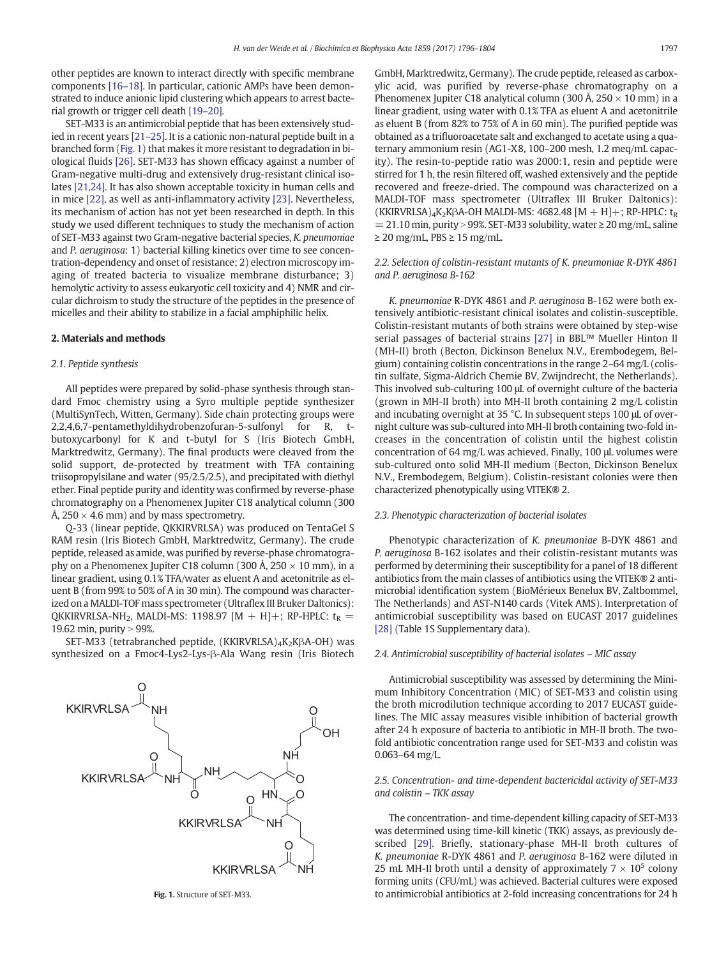other peptides are known to interact directly with specific membrane components [\[16](#page-7-0)–18]. In particular, cationic AMPs have been demonstrated to induce anionic lipid clustering which appears to arrest bacterial growth or trigger cell death [\[19](#page-7-0)–20].

SET-M33 is an antimicrobial peptide that has been extensively studied in recent years [\[21](#page-7-0)–25]. It is a cationic non-natural peptide built in a branched form (Fig. 1) that makes it more resistant to degradation in biological fluids [\[26\]](#page-8-0). SET-M33 has shown efficacy against a number of Gram-negative multi-drug and extensively drug-resistant clinical isolates [\[21,24\].](#page-7-0) It has also shown acceptable toxicity in human cells and in mice [\[22\]](#page-8-0), as well as anti-inflammatory activity [\[23\].](#page-8-0) Nevertheless, its mechanism of action has not yet been researched in depth. In this study we used different techniques to study the mechanism of action of SET-M33 against two Gram-negative bacterial species, K. pneumoniae and P. aeruginosa: 1) bacterial killing kinetics over time to see concentration-dependency and onset of resistance; 2) electron microscopy imaging of treated bacteria to visualize membrane disturbance; 3) hemolytic activity to assess eukaryotic cell toxicity and 4) NMR and circular dichroism to study the structure of the peptides in the presence of micelles and their ability to stabilize in a facial amphiphilic helix.

# 2. Materials and methods

### 2.1. Peptide synthesis

All peptides were prepared by solid-phase synthesis through standard Fmoc chemistry using a Syro multiple peptide synthesizer (MultiSynTech, Witten, Germany). Side chain protecting groups were 2,2,4,6,7-pentamethyldihydrobenzofuran-5-sulfonyl for R, tbutoxycarbonyl for K and t-butyl for S (Iris Biotech GmbH, Marktredwitz, Germany). The final products were cleaved from the solid support, de-protected by treatment with TFA containing triisopropylsilane and water (95/2.5/2.5), and precipitated with diethyl ether. Final peptide purity and identity was confirmed by reverse-phase chromatography on a Phenomenex Jupiter C18 analytical column (300 Å,  $250 \times 4.6$  mm) and by mass spectrometry.

Q-33 (linear peptide, QKKIRVRLSA) was produced on TentaGel S RAM resin (Iris Biotech GmbH, Marktredwitz, Germany). The crude peptide, released as amide, was purified by reverse-phase chromatography on a Phenomenex Jupiter C18 column (300 Å,  $250 \times 10$  mm), in a linear gradient, using 0.1% TFA/water as eluent A and acetonitrile as eluent B (from 99% to 50% of A in 30 min). The compound was characterized on a MALDI-TOF mass spectrometer (Ultraflex III Bruker Daltonics): QKKIRVRLSA-NH<sub>2</sub>, MALDI-MS: 1198.97 [M + H]+; RP-HPLC:  $t_R$  = 19.62 min, purity  $> 99%$ .

SET-M33 (tetrabranched peptide, (KKIRVRLSA)<sub>4</sub>K<sub>2</sub>KβA-OH) was synthesized on a Fmoc4-Lys2-Lys-β-Ala Wang resin (Iris Biotech



Fig. 1. Structure of SET-M33.

GmbH, Marktredwitz, Germany). The crude peptide, released as carboxylic acid, was purified by reverse-phase chromatography on a Phenomenex Jupiter C18 analytical column (300 Å,  $250 \times 10$  mm) in a linear gradient, using water with 0.1% TFA as eluent A and acetonitrile as eluent B (from 82% to 75% of A in 60 min). The purified peptide was obtained as a trifluoroacetate salt and exchanged to acetate using a quaternary ammonium resin (AG1-X8, 100–200 mesh, 1.2 meq/mL capacity). The resin-to-peptide ratio was 2000:1, resin and peptide were stirred for 1 h, the resin filtered off, washed extensively and the peptide recovered and freeze-dried. The compound was characterized on a MALDI-TOF mass spectrometer (Ultraflex III Bruker Daltonics): (KKIRVRLSA)<sub>4</sub>K<sub>2</sub>KβA-OH MALDI-MS: 4682.48 [M + H]+; RP-HPLC: t<sub>R</sub>  $= 21.10$  min, purity > 99%. SET-M33 solubility, water  $\geq 20$  mg/mL, saline ≥ 20 mg/mL, PBS ≥ 15 mg/mL.

## 2.2. Selection of colistin-resistant mutants of K. pneumoniae R-DYK 4861 and P. aeruginosa B-162

K. pneumoniae R-DYK 4861 and P. aeruginosa B-162 were both extensively antibiotic-resistant clinical isolates and colistin-susceptible. Colistin-resistant mutants of both strains were obtained by step-wise serial passages of bacterial strains [\[27\]](#page-8-0) in BBL™ Mueller Hinton II (MH-II) broth (Becton, Dickinson Benelux N.V., Erembodegem, Belgium) containing colistin concentrations in the range 2–64 mg/L (colistin sulfate, Sigma-Aldrich Chemie BV, Zwijndrecht, the Netherlands). This involved sub-culturing 100 μL of overnight culture of the bacteria (grown in MH-II broth) into MH-II broth containing 2 mg/L colistin and incubating overnight at 35 °C. In subsequent steps 100 μL of overnight culture was sub-cultured into MH-II broth containing two-fold increases in the concentration of colistin until the highest colistin concentration of 64 mg/L was achieved. Finally, 100 μL volumes were sub-cultured onto solid MH-II medium (Becton, Dickinson Benelux N.V., Erembodegem, Belgium). Colistin-resistant colonies were then characterized phenotypically using VITEK® 2.

# 2.3. Phenotypic characterization of bacterial isolates

Phenotypic characterization of K. pneumoniae B-DYK 4861 and P. aeruginosa B-162 isolates and their colistin-resistant mutants was performed by determining their susceptibility for a panel of 18 different antibiotics from the main classes of antibiotics using the VITEK® 2 antimicrobial identification system (BioMérieux Benelux BV, Zaltbommel, The Netherlands) and AST-N140 cards (Vitek AMS). Interpretation of antimicrobial susceptibility was based on EUCAST 2017 guidelines [\[28\]](#page-8-0) (Table 1S Supplementary data).

#### 2.4. Antimicrobial susceptibility of bacterial isolates – MIC assay

Antimicrobial susceptibility was assessed by determining the Minimum Inhibitory Concentration (MIC) of SET-M33 and colistin using the broth microdilution technique according to 2017 EUCAST guidelines. The MIC assay measures visible inhibition of bacterial growth after 24 h exposure of bacteria to antibiotic in MH-II broth. The twofold antibiotic concentration range used for SET-M33 and colistin was 0.063–64 mg/L.

### 2.5. Concentration- and time-dependent bactericidal activity of SET-M33 and colistin – TKK assay

The concentration- and time-dependent killing capacity of SET-M33 was determined using time-kill kinetic (TKK) assays, as previously described [\[29\].](#page-8-0) Briefly, stationary-phase MH-II broth cultures of K. pneumoniae R-DYK 4861 and P. aeruginosa B-162 were diluted in 25 mL MH-II broth until a density of approximately  $7 \times 10^5$  colony forming units (CFU/mL) was achieved. Bacterial cultures were exposed to antimicrobial antibiotics at 2-fold increasing concentrations for 24 h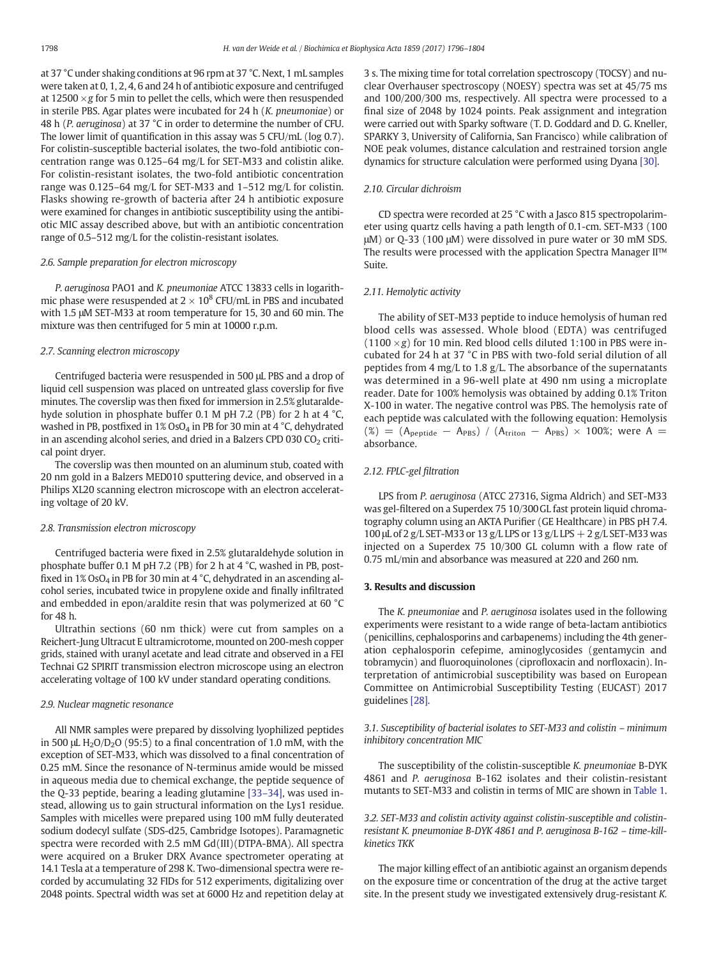at 37 °C under shaking conditions at 96 rpm at 37 °C. Next, 1 mL samples were taken at 0, 1, 2, 4, 6 and 24 h of antibiotic exposure and centrifuged at  $12500 \times g$  for 5 min to pellet the cells, which were then resuspended in sterile PBS. Agar plates were incubated for 24 h (K. pneumoniae) or 48 h (P. aeruginosa) at 37 °C in order to determine the number of CFU. The lower limit of quantification in this assay was 5 CFU/mL (log 0.7). For colistin-susceptible bacterial isolates, the two-fold antibiotic concentration range was 0.125–64 mg/L for SET-M33 and colistin alike. For colistin-resistant isolates, the two-fold antibiotic concentration range was 0.125–64 mg/L for SET-M33 and 1–512 mg/L for colistin. Flasks showing re-growth of bacteria after 24 h antibiotic exposure were examined for changes in antibiotic susceptibility using the antibiotic MIC assay described above, but with an antibiotic concentration range of 0.5–512 mg/L for the colistin-resistant isolates.

#### 2.6. Sample preparation for electron microscopy

P. aeruginosa PAO1 and K. pneumoniae ATCC 13833 cells in logarithmic phase were resuspended at  $2 \times 10^8$  CFU/mL in PBS and incubated with 1.5 μM SET-M33 at room temperature for 15, 30 and 60 min. The mixture was then centrifuged for 5 min at 10000 r.p.m.

# 2.7. Scanning electron microscopy

Centrifuged bacteria were resuspended in 500 μL PBS and a drop of liquid cell suspension was placed on untreated glass coverslip for five minutes. The coverslip was then fixed for immersion in 2.5% glutaraldehyde solution in phosphate buffer 0.1 M pH 7.2 (PB) for 2 h at 4 °C, washed in PB, postfixed in  $1\%$  OsO<sub>4</sub> in PB for 30 min at 4 °C, dehydrated in an ascending alcohol series, and dried in a Balzers CPD 030  $CO<sub>2</sub>$  critical point dryer.

The coverslip was then mounted on an aluminum stub, coated with 20 nm gold in a Balzers MED010 sputtering device, and observed in a Philips XL20 scanning electron microscope with an electron accelerating voltage of 20 kV.

#### 2.8. Transmission electron microscopy

Centrifuged bacteria were fixed in 2.5% glutaraldehyde solution in phosphate buffer 0.1 M pH 7.2 (PB) for 2 h at 4 °C, washed in PB, postfixed in  $1\%$  OsO<sub>4</sub> in PB for 30 min at 4  $^{\circ}$ C, dehydrated in an ascending alcohol series, incubated twice in propylene oxide and finally infiltrated and embedded in epon/araldite resin that was polymerized at 60 °C for 48 h.

Ultrathin sections (60 nm thick) were cut from samples on a Reichert-Jung Ultracut E ultramicrotome, mounted on 200-mesh copper grids, stained with uranyl acetate and lead citrate and observed in a FEI Technai G2 SPIRIT transmission electron microscope using an electron accelerating voltage of 100 kV under standard operating conditions.

#### 2.9. Nuclear magnetic resonance

All NMR samples were prepared by dissolving lyophilized peptides in 500 μL  $H_2O/D_2O$  (95:5) to a final concentration of 1.0 mM, with the exception of SET-M33, which was dissolved to a final concentration of 0.25 mM. Since the resonance of N-terminus amide would be missed in aqueous media due to chemical exchange, the peptide sequence of the Q-33 peptide, bearing a leading glutamine [33–[34\]](#page-8-0), was used instead, allowing us to gain structural information on the Lys1 residue. Samples with micelles were prepared using 100 mM fully deuterated sodium dodecyl sulfate (SDS-d25, Cambridge Isotopes). Paramagnetic spectra were recorded with 2.5 mM Gd(III)(DTPA-BMA). All spectra were acquired on a Bruker DRX Avance spectrometer operating at 14.1 Tesla at a temperature of 298 K. Two-dimensional spectra were recorded by accumulating 32 FIDs for 512 experiments, digitalizing over 2048 points. Spectral width was set at 6000 Hz and repetition delay at

3 s. The mixing time for total correlation spectroscopy (TOCSY) and nuclear Overhauser spectroscopy (NOESY) spectra was set at 45/75 ms and 100/200/300 ms, respectively. All spectra were processed to a final size of 2048 by 1024 points. Peak assignment and integration were carried out with Sparky software (T. D. Goddard and D. G. Kneller, SPARKY 3, University of California, San Francisco) while calibration of NOE peak volumes, distance calculation and restrained torsion angle dynamics for structure calculation were performed using Dyana [\[30\].](#page-8-0)

# 2.10. Circular dichroism

CD spectra were recorded at 25 °C with a Jasco 815 spectropolarimeter using quartz cells having a path length of 0.1-cm. SET-M33 (100 μM) or Q-33 (100 μM) were dissolved in pure water or 30 mM SDS. The results were processed with the application Spectra Manager II™ Suite.

#### 2.11. Hemolytic activity

The ability of SET-M33 peptide to induce hemolysis of human red blood cells was assessed. Whole blood (EDTA) was centrifuged (1100  $\times$ g) for 10 min. Red blood cells diluted 1:100 in PBS were incubated for 24 h at 37 °C in PBS with two-fold serial dilution of all peptides from 4 mg/L to 1.8 g/L. The absorbance of the supernatants was determined in a 96-well plate at 490 nm using a microplate reader. Date for 100% hemolysis was obtained by adding 0.1% Triton X-100 in water. The negative control was PBS. The hemolysis rate of each peptide was calculated with the following equation: Hemolysis  $(\%)$  = (A<sub>peptide</sub> – A<sub>PBS</sub>) / (A<sub>triton</sub> – A<sub>PBS</sub>) × 100%; were A = absorbance.

#### 2.12. FPLC-gel filtration

LPS from P. aeruginosa (ATCC 27316, Sigma Aldrich) and SET-M33 was gel-filtered on a Superdex 75 10/300GL fast protein liquid chromatography column using an AKTA Purifier (GE Healthcare) in PBS pH 7.4. 100 μL of 2 g/L SET-M33 or 13 g/L LPS or 13 g/L LPS + 2 g/L SET-M33 was injected on a Superdex 75 10/300 GL column with a flow rate of 0.75 mL/min and absorbance was measured at 220 and 260 nm.

#### 3. Results and discussion

The K. pneumoniae and P. aeruginosa isolates used in the following experiments were resistant to a wide range of beta-lactam antibiotics (penicillins, cephalosporins and carbapenems) including the 4th generation cephalosporin cefepime, aminoglycosides (gentamycin and tobramycin) and fluoroquinolones (ciprofloxacin and norfloxacin). Interpretation of antimicrobial susceptibility was based on European Committee on Antimicrobial Susceptibility Testing (EUCAST) 2017 guidelines [\[28\]](#page-8-0).

3.1. Susceptibility of bacterial isolates to SET-M33 and colistin – minimum inhibitory concentration MIC

The susceptibility of the colistin-susceptible K. pneumoniae B-DYK 4861 and P. aeruginosa B-162 isolates and their colistin-resistant mutants to SET-M33 and colistin in terms of MIC are shown in [Table 1.](#page-3-0)

3.2. SET-M33 and colistin activity against colistin-susceptible and colistinresistant K. pneumoniae B-DYK 4861 and P. aeruginosa B-162 – time-killkinetics TKK

The major killing effect of an antibiotic against an organism depends on the exposure time or concentration of the drug at the active target site. In the present study we investigated extensively drug-resistant K.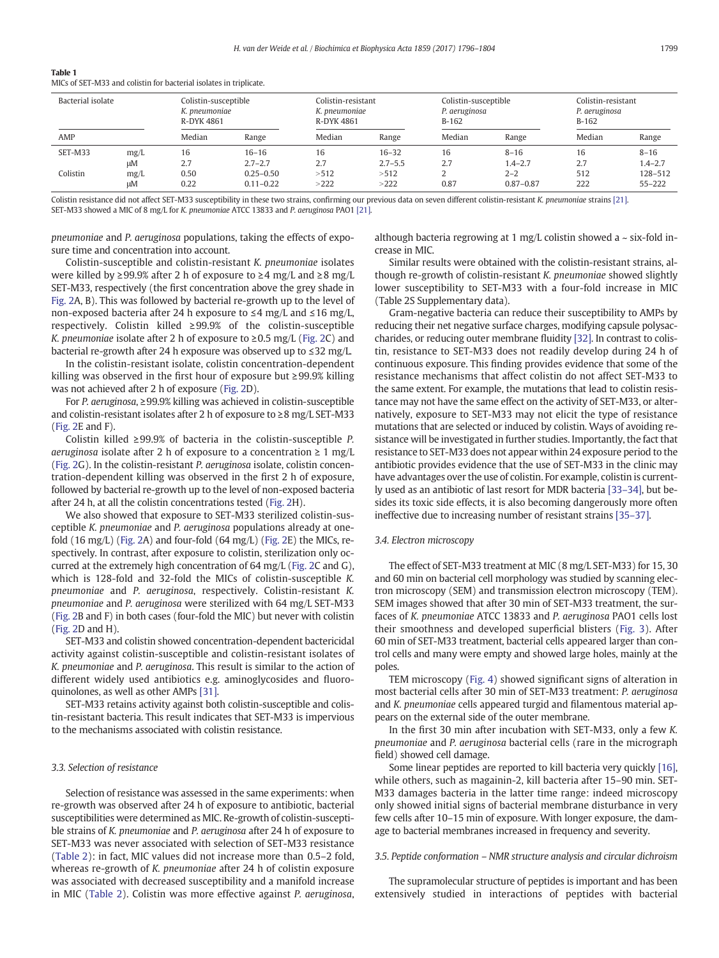<span id="page-3-0"></span>

| Table 1                                                            |  |  |
|--------------------------------------------------------------------|--|--|
| MICs of SET-M33 and colistin for bacterial isolates in triplicate. |  |  |

| Bacterial isolate |            | Colistin-susceptible<br>K. pneumoniae<br>R-DYK 4861 |                              | Colistin-resistant<br>K. pneumoniae<br>R-DYK 4861 |                     | Colistin-susceptible<br>P. aeruginosa<br>$B-162$ |                        | Colistin-resistant<br>P. aeruginosa<br>$B-162$ |                        |
|-------------------|------------|-----------------------------------------------------|------------------------------|---------------------------------------------------|---------------------|--------------------------------------------------|------------------------|------------------------------------------------|------------------------|
| AMP               |            | Median                                              | Range                        | Median                                            | Range               | Median                                           | Range                  | Median                                         | Range                  |
| SET-M33           | mg/L       | 16                                                  | $16 - 16$                    | 16                                                | $16 - 32$           | 16                                               | $8 - 16$               | 16                                             | $8 - 16$               |
| Colistin          | иM<br>mg/L | 2.7<br>0.50                                         | $2.7 - 2.7$<br>$0.25 - 0.50$ | 2.7<br>>512                                       | $2.7 - 5.5$<br>>512 | 2.7                                              | $1.4 - 2.7$<br>$2 - 2$ | 2.7<br>512                                     | $1.4 - 2.7$<br>128-512 |
|                   | иM         | 0.22                                                | $0.11 - 0.22$                | >222                                              | >222                | 0.87                                             | $0.87 - 0.87$          | 222                                            | $55 - 222$             |

Colistin resistance did not affect SET-M33 susceptibility in these two strains, confirming our previous data on seven different colistin-resistant K. pneumoniae strains [\[21\]](#page-7-0). SET-M33 showed a MIC of 8 mg/L for K. pneumoniae ATCC 13833 and P. aeruginosa PAO1 [\[21\].](#page-7-0)

pneumoniae and P. aeruginosa populations, taking the effects of exposure time and concentration into account.

although bacteria regrowing at 1 mg/L colistin showed a  $\sim$  six-fold increase in MIC.

Colistin-susceptible and colistin-resistant K. pneumoniae isolates were killed by ≥99.9% after 2 h of exposure to ≥4 mg/L and ≥8 mg/L SET-M33, respectively (the first concentration above the grey shade in [Fig. 2](#page-4-0)A, B). This was followed by bacterial re-growth up to the level of non-exposed bacteria after 24 h exposure to ≤4 mg/L and ≤16 mg/L, respectively. Colistin killed ≥99.9% of the colistin-susceptible K. pneumoniae isolate after 2 h of exposure to  $\geq$  0.5 mg/L ([Fig. 2C](#page-4-0)) and bacterial re-growth after 24 h exposure was observed up to ≤32 mg/L.

In the colistin-resistant isolate, colistin concentration-dependent killing was observed in the first hour of exposure but ≥99.9% killing was not achieved after 2 h of exposure [\(Fig. 2D](#page-4-0)).

For P. aeruginosa, ≥99.9% killing was achieved in colistin-susceptible and colistin-resistant isolates after 2 h of exposure to ≥8 mg/L SET-M33 [\(Fig. 2E](#page-4-0) and F).

Colistin killed ≥99.9% of bacteria in the colistin-susceptible P. aeruginosa isolate after 2 h of exposure to a concentration  $\geq 1$  mg/L [\(Fig. 2G](#page-4-0)). In the colistin-resistant P. aeruginosa isolate, colistin concentration-dependent killing was observed in the first 2 h of exposure, followed by bacterial re-growth up to the level of non-exposed bacteria after 24 h, at all the colistin concentrations tested [\(Fig. 2](#page-4-0)H).

We also showed that exposure to SET-M33 sterilized colistin-susceptible K. pneumoniae and P. aeruginosa populations already at onefold (16 mg/L) ([Fig. 2](#page-4-0)A) and four-fold (64 mg/L) ([Fig. 2](#page-4-0)E) the MICs, respectively. In contrast, after exposure to colistin, sterilization only occurred at the extremely high concentration of 64 mg/L [\(Fig. 2C](#page-4-0) and G), which is 128-fold and 32-fold the MICs of colistin-susceptible K. pneumoniae and P. aeruginosa, respectively. Colistin-resistant K. pneumoniae and P. aeruginosa were sterilized with 64 mg/L SET-M33 [\(Fig. 2](#page-4-0)B and F) in both cases (four-fold the MIC) but never with colistin [\(Fig. 2D](#page-4-0) and H).

SET-M33 and colistin showed concentration-dependent bactericidal activity against colistin-susceptible and colistin-resistant isolates of K. pneumoniae and P. aeruginosa. This result is similar to the action of different widely used antibiotics e.g. aminoglycosides and fluoroquinolones, as well as other AMPs [\[31\].](#page-8-0)

SET-M33 retains activity against both colistin-susceptible and colistin-resistant bacteria. This result indicates that SET-M33 is impervious to the mechanisms associated with colistin resistance.

#### 3.3. Selection of resistance

Selection of resistance was assessed in the same experiments: when re-growth was observed after 24 h of exposure to antibiotic, bacterial susceptibilities were determined as MIC. Re-growth of colistin-susceptible strains of K. pneumoniae and P. aeruginosa after 24 h of exposure to SET-M33 was never associated with selection of SET-M33 resistance [\(Table 2\)](#page-5-0): in fact, MIC values did not increase more than 0.5–2 fold, whereas re-growth of K. pneumoniae after 24 h of colistin exposure was associated with decreased susceptibility and a manifold increase in MIC ([Table 2](#page-5-0)). Colistin was more effective against P. aeruginosa,

Similar results were obtained with the colistin-resistant strains, although re-growth of colistin-resistant K. pneumoniae showed slightly lower susceptibility to SET-M33 with a four-fold increase in MIC (Table 2S Supplementary data).

Gram-negative bacteria can reduce their susceptibility to AMPs by reducing their net negative surface charges, modifying capsule polysaccharides, or reducing outer membrane fluidity [\[32\].](#page-8-0) In contrast to colistin, resistance to SET-M33 does not readily develop during 24 h of continuous exposure. This finding provides evidence that some of the resistance mechanisms that affect colistin do not affect SET-M33 to the same extent. For example, the mutations that lead to colistin resistance may not have the same effect on the activity of SET-M33, or alternatively, exposure to SET-M33 may not elicit the type of resistance mutations that are selected or induced by colistin. Ways of avoiding resistance will be investigated in further studies. Importantly, the fact that resistance to SET-M33 does not appear within 24 exposure period to the antibiotic provides evidence that the use of SET-M33 in the clinic may have advantages over the use of colistin. For example, colistin is currently used as an antibiotic of last resort for MDR bacteria [33–[34\],](#page-8-0) but besides its toxic side effects, it is also becoming dangerously more often ineffective due to increasing number of resistant strains [35–[37\].](#page-8-0)

#### 3.4. Electron microscopy

The effect of SET-M33 treatment at MIC (8 mg/L SET-M33) for 15, 30 and 60 min on bacterial cell morphology was studied by scanning electron microscopy (SEM) and transmission electron microscopy (TEM). SEM images showed that after 30 min of SET-M33 treatment, the surfaces of K. pneumoniae ATCC 13833 and P. aeruginosa PAO1 cells lost their smoothness and developed superficial blisters ([Fig. 3](#page-5-0)). After 60 min of SET-M33 treatment, bacterial cells appeared larger than control cells and many were empty and showed large holes, mainly at the poles.

TEM microscopy [\(Fig. 4\)](#page-6-0) showed significant signs of alteration in most bacterial cells after 30 min of SET-M33 treatment: P. aeruginosa and K. pneumoniae cells appeared turgid and filamentous material appears on the external side of the outer membrane.

In the first 30 min after incubation with SET-M33, only a few K. pneumoniae and P. aeruginosa bacterial cells (rare in the micrograph field) showed cell damage.

Some linear peptides are reported to kill bacteria very quickly [\[16\],](#page-7-0) while others, such as magainin-2, kill bacteria after 15–90 min. SET-M33 damages bacteria in the latter time range: indeed microscopy only showed initial signs of bacterial membrane disturbance in very few cells after 10–15 min of exposure. With longer exposure, the damage to bacterial membranes increased in frequency and severity.

#### 3.5. Peptide conformation – NMR structure analysis and circular dichroism

The supramolecular structure of peptides is important and has been extensively studied in interactions of peptides with bacterial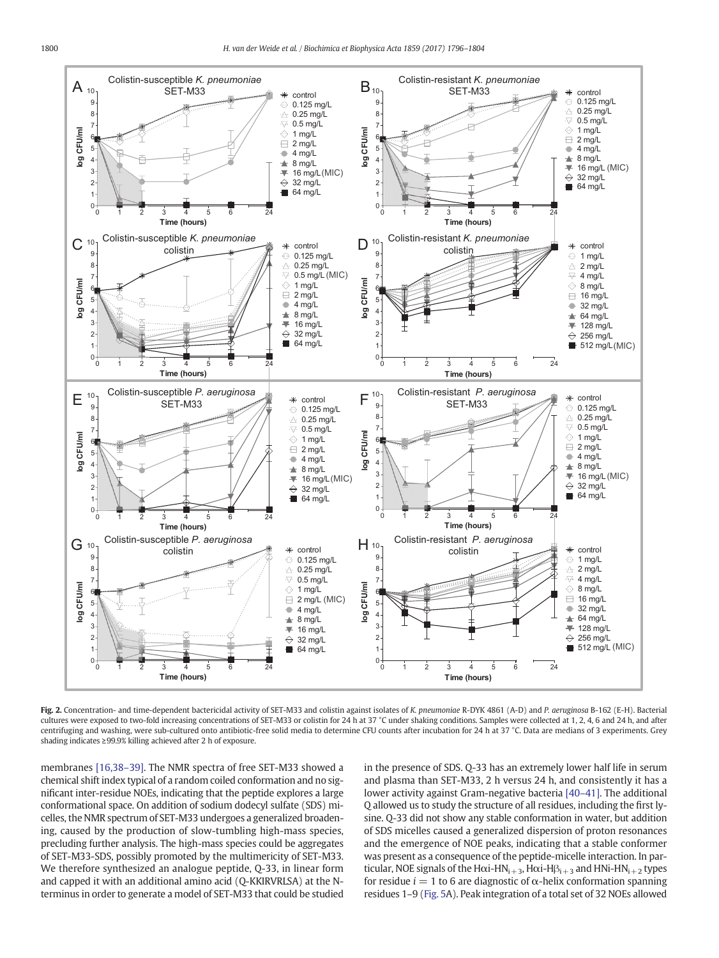<span id="page-4-0"></span>

Fig. 2. Concentration- and time-dependent bactericidal activity of SET-M33 and colistin against isolates of K. pneumoniae R-DYK 4861 (A-D) and P. aeruginosa B-162 (E-H). Bacterial cultures were exposed to two-fold increasing concentrations of SET-M33 or colistin for 24 h at 37 °C under shaking conditions. Samples were collected at 1, 2, 4, 6 and 24 h, and after centrifuging and washing, were sub-cultured onto antibiotic-free solid media to determine CFU counts after incubation for 24 h at 37 °C. Data are medians of 3 experiments. Grey shading indicates ≥99.9% killing achieved after 2 h of exposure.

membranes [\[16,38](#page-7-0)–39]. The NMR spectra of free SET-M33 showed a chemical shift index typical of a random coiled conformation and no significant inter-residue NOEs, indicating that the peptide explores a large conformational space. On addition of sodium dodecyl sulfate (SDS) micelles, the NMR spectrum of SET-M33 undergoes a generalized broadening, caused by the production of slow-tumbling high-mass species, precluding further analysis. The high-mass species could be aggregates of SET-M33-SDS, possibly promoted by the multimericity of SET-M33. We therefore synthesized an analogue peptide, Q-33, in linear form and capped it with an additional amino acid (Q-KKIRVRLSA) at the Nterminus in order to generate a model of SET-M33 that could be studied in the presence of SDS. Q-33 has an extremely lower half life in serum and plasma than SET-M33, 2 h versus 24 h, and consistently it has a lower activity against Gram-negative bacteria [40–[41\].](#page-8-0) The additional Q allowed us to study the structure of all residues, including the first lysine. Q-33 did not show any stable conformation in water, but addition of SDS micelles caused a generalized dispersion of proton resonances and the emergence of NOE peaks, indicating that a stable conformer was present as a consequence of the peptide-micelle interaction. In particular, NOE signals of the H $\alpha$ i-HN<sub>i+3</sub>, H $\alpha$ i-H $\beta$ <sub>i+3</sub> and HNi-HN<sub>i+2</sub> types for residue  $i = 1$  to 6 are diagnostic of  $\alpha$ -helix conformation spanning residues 1–9 [\(Fig. 5A](#page-6-0)). Peak integration of a total set of 32 NOEs allowed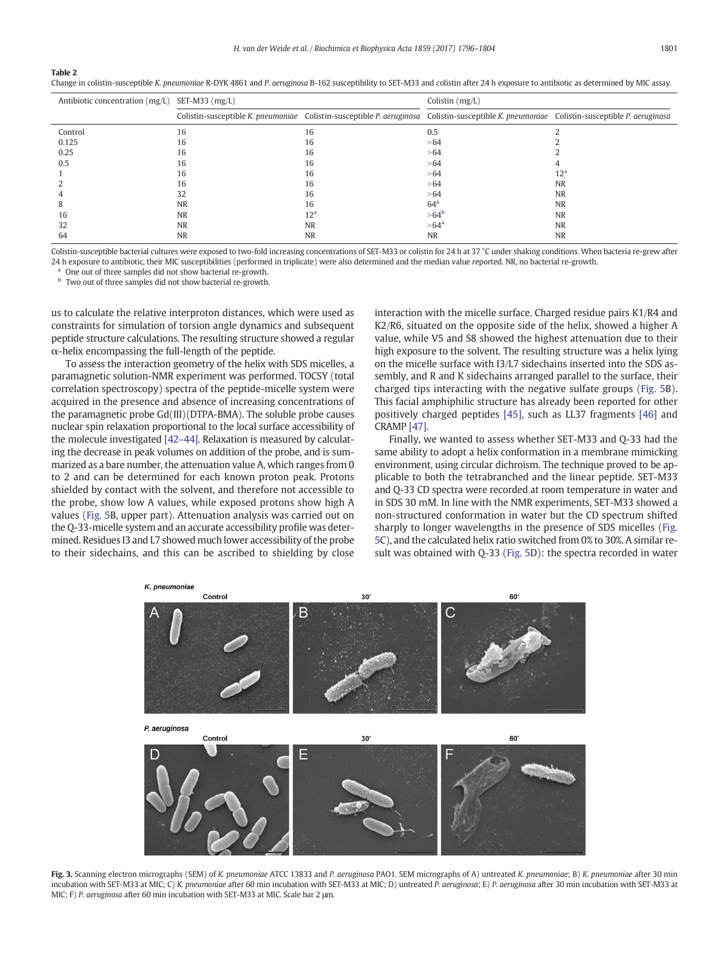<span id="page-5-0"></span>Table 2

Change in colistin-susceptible K. pneumoniae R-DYK 4861 and P. aeruginosa B-162 susceptibility to SET-M33 and colistin after 24 h exposure to antibiotic as determined by MIC assay.

| Antibiotic concentration (mg/L) | SET-M33 $(mg/L)$ |           | Colistin (mg/L)                                                                                                                             |                 |  |
|---------------------------------|------------------|-----------|---------------------------------------------------------------------------------------------------------------------------------------------|-----------------|--|
|                                 |                  |           | Colistin-susceptible K. pneumoniae Colistin-susceptible P. aeruginosa Colistin-susceptible K. pneumoniae Colistin-susceptible P. aeruginosa |                 |  |
| Control                         | 16               | 16        | 0.5                                                                                                                                         |                 |  |
| 0.125                           | 16               | 16        | >64                                                                                                                                         |                 |  |
| 0.25                            | 16               | 16        | >64                                                                                                                                         |                 |  |
| 0.5                             | 16               | 16        | >64                                                                                                                                         |                 |  |
|                                 | 16               | 16        | >64                                                                                                                                         | 12 <sup>a</sup> |  |
|                                 | 16               | 16        | >64                                                                                                                                         | <b>NR</b>       |  |
|                                 |                  | 16        | >64                                                                                                                                         | <b>NR</b>       |  |
|                                 | <b>NR</b>        | 16        | 64 <sup>a</sup>                                                                                                                             | <b>NR</b>       |  |
| 16                              | <b>NR</b>        |           | $>64^b$                                                                                                                                     | <b>NR</b>       |  |
| 32                              | <b>NR</b>        | <b>NR</b> | >64 <sup>a</sup>                                                                                                                            | <b>NR</b>       |  |
| 64                              | <b>NR</b>        | <b>NR</b> | <b>NR</b>                                                                                                                                   | <b>NR</b>       |  |

Colistin-susceptible bacterial cultures were exposed to two-fold increasing concentrations of SET-M33 or colistin for 24 h at 37 °C under shaking conditions. When bacteria re-grew after 24 h exposure to antibiotic, their MIC susceptibilities (performed in triplicate) were also determined and the median value reported. NR, no bacterial re-growth.

One out of three samples did not show bacterial re-growth.

<sup>b</sup> Two out of three samples did not show bacterial re-growth.

us to calculate the relative interproton distances, which were used as constraints for simulation of torsion angle dynamics and subsequent peptide structure calculations. The resulting structure showed a regular  $\alpha$ -helix encompassing the full-length of the peptide.

To assess the interaction geometry of the helix with SDS micelles, a paramagnetic solution-NMR experiment was performed. TOCSY (total correlation spectroscopy) spectra of the peptide-micelle system were acquired in the presence and absence of increasing concentrations of the paramagnetic probe Gd(III)(DTPA-BMA). The soluble probe causes nuclear spin relaxation proportional to the local surface accessibility of the molecule investigated [\[42](#page-8-0)–44]. Relaxation is measured by calculating the decrease in peak volumes on addition of the probe, and is summarized as a bare number, the attenuation value A, which ranges from 0 to 2 and can be determined for each known proton peak. Protons shielded by contact with the solvent, and therefore not accessible to the probe, show low A values, while exposed protons show high A values ([Fig. 5](#page-6-0)B, upper part). Attenuation analysis was carried out on the Q-33-micelle system and an accurate accessibility profile was determined. Residues I3 and L7 showed much lower accessibility of the probe to their sidechains, and this can be ascribed to shielding by close interaction with the micelle surface. Charged residue pairs K1/R4 and K2/R6, situated on the opposite side of the helix, showed a higher A value, while V5 and S8 showed the highest attenuation due to their high exposure to the solvent. The resulting structure was a helix lying on the micelle surface with I3/L7 sidechains inserted into the SDS assembly, and R and K sidechains arranged parallel to the surface, their charged tips interacting with the negative sulfate groups [\(Fig. 5](#page-6-0)B). This facial amphiphilic structure has already been reported for other positively charged peptides [\[45\]](#page-8-0), such as LL37 fragments [\[46\]](#page-8-0) and CRAMP [\[47\]](#page-8-0).

Finally, we wanted to assess whether SET-M33 and Q-33 had the same ability to adopt a helix conformation in a membrane mimicking environment, using circular dichroism. The technique proved to be applicable to both the tetrabranched and the linear peptide. SET-M33 and Q-33 CD spectra were recorded at room temperature in water and in SDS 30 mM. In line with the NMR experiments, SET-M33 showed a non-structured conformation in water but the CD spectrum shifted sharply to longer wavelengths in the presence of SDS micelles ([Fig.](#page-6-0) [5C](#page-6-0)), and the calculated helix ratio switched from 0% to 30%. A similar result was obtained with Q-33 [\(Fig. 5](#page-6-0)D): the spectra recorded in water



Fig. 3. Scanning electron micrographs (SEM) of K. pneumoniae ATCC 13833 and P. aeruginosa PAO1. SEM micrographs of A) untreated K. pneumoniae; B) K. pneumoniae after 30 min incubation with SET-M33 at MIC; C) K. pneumoniae after 60 min incubation with SET-M33 at MIC; D) untreated P. aeruginosa; E) P. aeruginosa after 30 min incubation with SET-M33 at MIC; F) P. aeruginosa after 60 min incubation with SET-M33 at MIC. Scale bar 2 μm.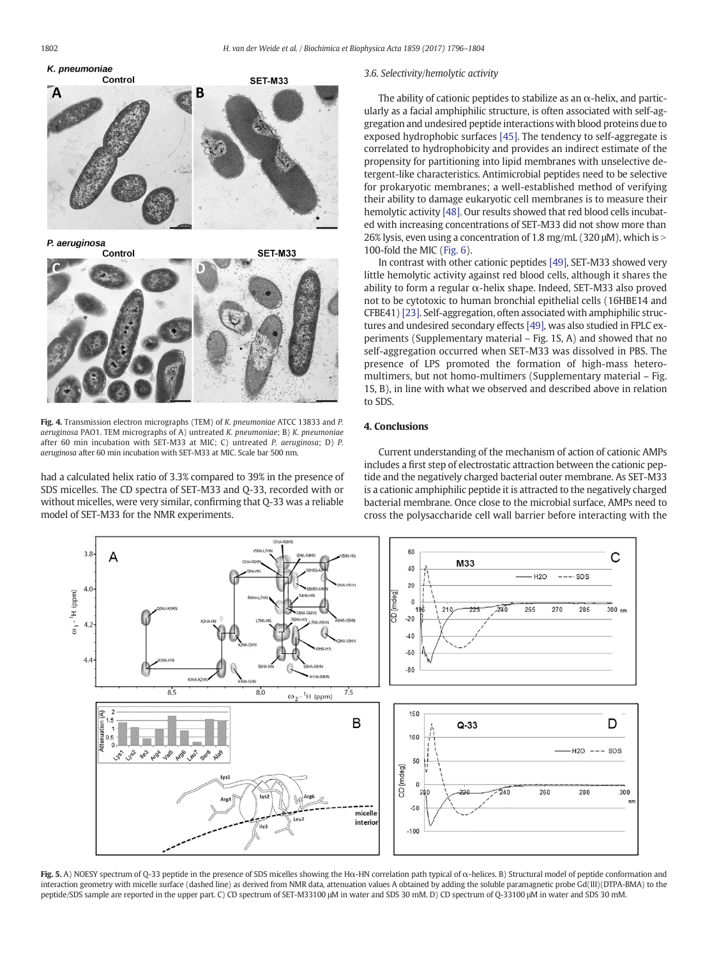<span id="page-6-0"></span>

Fig. 4. Transmission electron micrographs (TEM) of K. pneumoniae ATCC 13833 and P. aeruginosa PAO1. TEM micrographs of A) untreated K. pneumoniae; B) K. pneumoniae after 60 min incubation with SET-M33 at MIC; C) untreated P. aeruginosa; D) P. aeruginosa after 60 min incubation with SET-M33 at MIC. Scale bar 500 nm.

had a calculated helix ratio of 3.3% compared to 39% in the presence of SDS micelles. The CD spectra of SET-M33 and Q-33, recorded with or without micelles, were very similar, confirming that Q-33 was a reliable model of SET-M33 for the NMR experiments.

#### 3.6. Selectivity/hemolytic activity

The ability of cationic peptides to stabilize as an  $\alpha$ -helix, and particularly as a facial amphiphilic structure, is often associated with self-aggregation and undesired peptide interactions with blood proteins due to exposed hydrophobic surfaces [\[45\].](#page-8-0) The tendency to self-aggregate is correlated to hydrophobicity and provides an indirect estimate of the propensity for partitioning into lipid membranes with unselective detergent-like characteristics. Antimicrobial peptides need to be selective for prokaryotic membranes; a well-established method of verifying their ability to damage eukaryotic cell membranes is to measure their hemolytic activity [\[48\].](#page-8-0) Our results showed that red blood cells incubated with increasing concentrations of SET-M33 did not show more than 26% lysis, even using a concentration of 1.8 mg/mL (320 μM), which is N 100-fold the MIC ([Fig. 6](#page-7-0)).

In contrast with other cationic peptides [\[49\]](#page-8-0), SET-M33 showed very little hemolytic activity against red blood cells, although it shares the ability to form a regular  $\alpha$ -helix shape. Indeed, SET-M33 also proved not to be cytotoxic to human bronchial epithelial cells (16HBE14 and CFBE41) [\[23\]](#page-8-0). Self-aggregation, often associated with amphiphilic structures and undesired secondary effects [\[49\],](#page-8-0) was also studied in FPLC experiments (Supplementary material – Fig. 1S, A) and showed that no self-aggregation occurred when SET-M33 was dissolved in PBS. The presence of LPS promoted the formation of high-mass heteromultimers, but not homo-multimers (Supplementary material – Fig. 1S, B), in line with what we observed and described above in relation to SDS.

# 4. Conclusions

Current understanding of the mechanism of action of cationic AMPs includes a first step of electrostatic attraction between the cationic peptide and the negatively charged bacterial outer membrane. As SET-M33 is a cationic amphiphilic peptide it is attracted to the negatively charged bacterial membrane. Once close to the microbial surface, AMPs need to cross the polysaccharide cell wall barrier before interacting with the



Fig. 5. A) NOESY spectrum of Q-33 peptide in the presence of SDS micelles showing the Hα-HN correlation path typical of α-helices. B) Structural model of peptide conformation and interaction geometry with micelle surface (dashed line) as derived from NMR data, attenuation values A obtained by adding the soluble paramagnetic probe Gd(III)(DTPA-BMA) to the peptide/SDS sample are reported in the upper part. C) CD spectrum of SET-M33100 μM in water and SDS 30 mM. D) CD spectrum of Q-33100 μM in water and SDS 30 mM.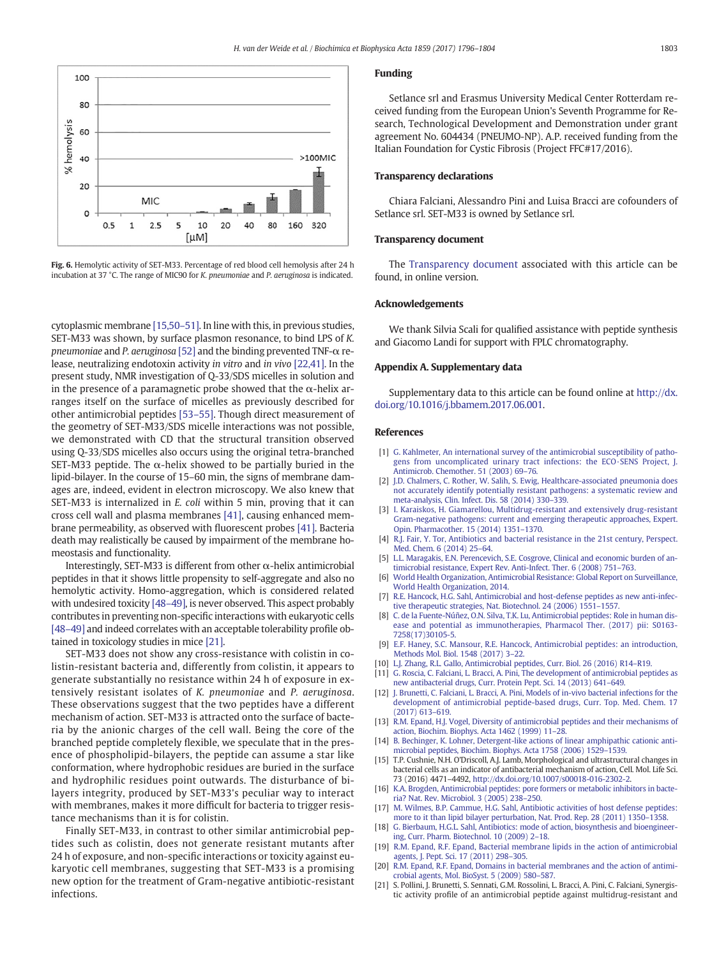<span id="page-7-0"></span>

Fig. 6. Hemolytic activity of SET-M33. Percentage of red blood cell hemolysis after 24 h incubation at 37 °C. The range of MIC90 for K. pneumoniae and P. aeruginosa is indicated.

cytoplasmic membrane [15,50–51]. In line with this, in previous studies, SET-M33 was shown, by surface plasmon resonance, to bind LPS of K. pneumoniae and P. aeruginosa [\[52\]](#page-8-0) and the binding prevented TNF-α release, neutralizing endotoxin activity in vitro and in vivo [\[22,41\].](#page-8-0) In the present study, NMR investigation of Q-33/SDS micelles in solution and in the presence of a paramagnetic probe showed that the  $\alpha$ -helix arranges itself on the surface of micelles as previously described for other antimicrobial peptides [53–[55\].](#page-8-0) Though direct measurement of the geometry of SET-M33/SDS micelle interactions was not possible, we demonstrated with CD that the structural transition observed using Q-33/SDS micelles also occurs using the original tetra-branched SET-M33 peptide. The  $\alpha$ -helix showed to be partially buried in the lipid-bilayer. In the course of 15–60 min, the signs of membrane damages are, indeed, evident in electron microscopy. We also knew that SET-M33 is internalized in E. coli within 5 min, proving that it can cross cell wall and plasma membranes [\[41\]](#page-8-0), causing enhanced membrane permeability, as observed with fluorescent probes [\[41\].](#page-8-0) Bacteria death may realistically be caused by impairment of the membrane homeostasis and functionality.

Interestingly, SET-M33 is different from other α-helix antimicrobial peptides in that it shows little propensity to self-aggregate and also no hemolytic activity. Homo-aggregation, which is considered related with undesired toxicity [48–[49\],](#page-8-0) is never observed. This aspect probably contributes in preventing non-specific interactions with eukaryotic cells [48–[49\]](#page-8-0) and indeed correlates with an acceptable tolerability profile obtained in toxicology studies in mice [21].

SET-M33 does not show any cross-resistance with colistin in colistin-resistant bacteria and, differently from colistin, it appears to generate substantially no resistance within 24 h of exposure in extensively resistant isolates of K. pneumoniae and P. aeruginosa. These observations suggest that the two peptides have a different mechanism of action. SET-M33 is attracted onto the surface of bacteria by the anionic charges of the cell wall. Being the core of the branched peptide completely flexible, we speculate that in the presence of phospholipid-bilayers, the peptide can assume a star like conformation, where hydrophobic residues are buried in the surface and hydrophilic residues point outwards. The disturbance of bilayers integrity, produced by SET-M33's peculiar way to interact with membranes, makes it more difficult for bacteria to trigger resistance mechanisms than it is for colistin.

Finally SET-M33, in contrast to other similar antimicrobial peptides such as colistin, does not generate resistant mutants after 24 h of exposure, and non-specific interactions or toxicity against eukaryotic cell membranes, suggesting that SET-M33 is a promising new option for the treatment of Gram-negative antibiotic-resistant infections.

# Funding

Setlance srl and Erasmus University Medical Center Rotterdam received funding from the European Union's Seventh Programme for Research, Technological Development and Demonstration under grant agreement No. 604434 (PNEUMO-NP). A.P. received funding from the Italian Foundation for Cystic Fibrosis (Project FFC#17/2016).

#### Transparency declarations

Chiara Falciani, Alessandro Pini and Luisa Bracci are cofounders of Setlance srl. SET-M33 is owned by Setlance srl.

#### Transparency document

The [Transparency document](http://dx.doi.org/10.1016/j.bbamem.2017.06.001) associated with this article can be found, in online version.

# Acknowledgements

We thank Silvia Scali for qualified assistance with peptide synthesis and Giacomo Landi for support with FPLC chromatography.

#### Appendix A. Supplementary data

Supplementary data to this article can be found online at [http://dx.](doi:10.1016/j.bbamem.2017.06.001) [doi.org/10.1016/j.bbamem.2017.06.001.](doi:10.1016/j.bbamem.2017.06.001)

#### References

- [1] [G. Kahlmeter, An international survey of the antimicrobial susceptibility of patho](http://refhub.elsevier.com/S0005-2736(17)30182-7/rf0005)[gens from uncomplicated urinary tract infections: the ECO·SENS Project, J.](http://refhub.elsevier.com/S0005-2736(17)30182-7/rf0005) [Antimicrob. Chemother. 51 \(2003\) 69](http://refhub.elsevier.com/S0005-2736(17)30182-7/rf0005)–76.
- [2] [J.D. Chalmers, C. Rother, W. Salih, S. Ewig, Healthcare-associated pneumonia does](http://refhub.elsevier.com/S0005-2736(17)30182-7/rf0010) [not accurately identify potentially resistant pathogens: a systematic review and](http://refhub.elsevier.com/S0005-2736(17)30182-7/rf0010) [meta-analysis, Clin. Infect. Dis. 58 \(2014\) 330](http://refhub.elsevier.com/S0005-2736(17)30182-7/rf0010)–339.
- [3] [I. Karaiskos, H. Giamarellou, Multidrug-resistant and extensively drug-resistant](http://refhub.elsevier.com/S0005-2736(17)30182-7/rf0015) [Gram-negative pathogens: current and emerging therapeutic approaches, Expert.](http://refhub.elsevier.com/S0005-2736(17)30182-7/rf0015) [Opin. Pharmacother. 15 \(2014\) 1351](http://refhub.elsevier.com/S0005-2736(17)30182-7/rf0015)–1370.
- [4] [R.J. Fair, Y. Tor, Antibiotics and bacterial resistance in the 21st century, Perspect.](http://refhub.elsevier.com/S0005-2736(17)30182-7/rf0020) [Med. Chem. 6 \(2014\) 25](http://refhub.elsevier.com/S0005-2736(17)30182-7/rf0020)–64.
- [5] [L.L. Maragakis, E.N. Perencevich, S.E. Cosgrove, Clinical and economic burden of an](http://refhub.elsevier.com/S0005-2736(17)30182-7/rf0025)[timicrobial resistance, Expert Rev. Anti-Infect. Ther. 6 \(2008\) 751](http://refhub.elsevier.com/S0005-2736(17)30182-7/rf0025)–763.
- [6] [World Health Organization, Antimicrobial Resistance: Global Report on Surveillance,](http://refhub.elsevier.com/S0005-2736(17)30182-7/rf0030) [World Health Organization, 2014](http://refhub.elsevier.com/S0005-2736(17)30182-7/rf0030).
- [7] [R.E. Hancock, H.G. Sahl, Antimicrobial and host-defense peptides as new anti-infec](http://refhub.elsevier.com/S0005-2736(17)30182-7/rf0035)[tive therapeutic strategies, Nat. Biotechnol. 24 \(2006\) 1551](http://refhub.elsevier.com/S0005-2736(17)30182-7/rf0035)–1557.
- [8] [C. de la Fuente-Núñez, O.N. Silva, T.K. Lu, Antimicrobial peptides: Role in human dis](http://refhub.elsevier.com/S0005-2736(17)30182-7/rf0040)[ease and potential as immunotherapies, Pharmacol Ther. \(2017\) pii: S0163-](http://refhub.elsevier.com/S0005-2736(17)30182-7/rf0040) [7258\(17\)30105-5](http://refhub.elsevier.com/S0005-2736(17)30182-7/rf0040).
- [E.F. Haney, S.C. Mansour, R.E. Hancock, Antimicrobial peptides: an introduction,](http://refhub.elsevier.com/S0005-2736(17)30182-7/rf0045) [Methods Mol. Biol. 1548 \(2017\) 3](http://refhub.elsevier.com/S0005-2736(17)30182-7/rf0045)–22.
- [10] [L.J. Zhang, R.L. Gallo, Antimicrobial peptides, Curr. Biol. 26 \(2016\) R14](http://refhub.elsevier.com/S0005-2736(17)30182-7/rf0050)–R19.
- [11] [G. Roscia, C. Falciani, L. Bracci, A. Pini, The development of antimicrobial peptides as](http://refhub.elsevier.com/S0005-2736(17)30182-7/rf0055) [new antibacterial drugs, Curr. Protein Pept. Sci. 14 \(2013\) 641](http://refhub.elsevier.com/S0005-2736(17)30182-7/rf0055)–649.
- [12] [J. Brunetti, C. Falciani, L. Bracci, A. Pini, Models of in-vivo bacterial infections for the](http://refhub.elsevier.com/S0005-2736(17)30182-7/rf0060) [development of antimicrobial peptide-based drugs, Curr. Top. Med. Chem. 17](http://refhub.elsevier.com/S0005-2736(17)30182-7/rf0060) [\(2017\) 613](http://refhub.elsevier.com/S0005-2736(17)30182-7/rf0060)–619.
- [13] [R.M. Epand, H.J. Vogel, Diversity of antimicrobial peptides and their mechanisms of](http://refhub.elsevier.com/S0005-2736(17)30182-7/rf0065) [action, Biochim. Biophys. Acta 1462 \(1999\) 11](http://refhub.elsevier.com/S0005-2736(17)30182-7/rf0065)–28.
- [B. Bechinger, K. Lohner, Detergent-like actions of linear amphipathic cationic anti](http://refhub.elsevier.com/S0005-2736(17)30182-7/rf0070)[microbial peptides, Biochim. Biophys. Acta 1758 \(2006\) 1529](http://refhub.elsevier.com/S0005-2736(17)30182-7/rf0070)–1539.
- [15] T.P. Cushnie, N.H. O'Driscoll, A.J. Lamb, Morphological and ultrastructural changes in bacterial cells as an indicator of antibacterial mechanism of action, Cell. Mol. Life Sci. 73 (2016) 4471–4492, http://dx.doi.org/[10.1007/s00018-016-2302-2.](http://dx.doi.org/10.1007/s00018-016-2302-2)
- [16] [K.A. Brogden, Antimicrobial peptides: pore formers or metabolic inhibitors in bacte](http://refhub.elsevier.com/S0005-2736(17)30182-7/rf0080)[ria? Nat. Rev. Microbiol. 3 \(2005\) 238](http://refhub.elsevier.com/S0005-2736(17)30182-7/rf0080)–250.
- [17] [M. Wilmes, B.P. Cammue, H.G. Sahl, Antibiotic activities of host defense peptides:](http://refhub.elsevier.com/S0005-2736(17)30182-7/rf0085) [more to it than lipid bilayer perturbation, Nat. Prod. Rep. 28 \(2011\) 1350](http://refhub.elsevier.com/S0005-2736(17)30182-7/rf0085)–1358.
- [18] [G. Bierbaum, H.G.L. Sahl, Antibiotics: mode of action, biosynthesis and bioengineer](http://refhub.elsevier.com/S0005-2736(17)30182-7/rf0090)[ing, Curr. Pharm. Biotechnol. 10 \(2009\) 2](http://refhub.elsevier.com/S0005-2736(17)30182-7/rf0090)–18.
- [19] [R.M. Epand, R.F. Epand, Bacterial membrane lipids in the action of antimicrobial](http://refhub.elsevier.com/S0005-2736(17)30182-7/rf0095) [agents, J. Pept. Sci. 17 \(2011\) 298](http://refhub.elsevier.com/S0005-2736(17)30182-7/rf0095)–305.
- [R.M. Epand, R.F. Epand, Domains in bacterial membranes and the action of antimi](http://refhub.elsevier.com/S0005-2736(17)30182-7/rf0100)[crobial agents, Mol. BioSyst. 5 \(2009\) 580](http://refhub.elsevier.com/S0005-2736(17)30182-7/rf0100)–587.
- [21] S. Pollini, J. Brunetti, S. Sennati, G.M. Rossolini, L. Bracci, A. Pini, C. Falciani, Synergistic activity profile of an antimicrobial peptide against multidrug-resistant and